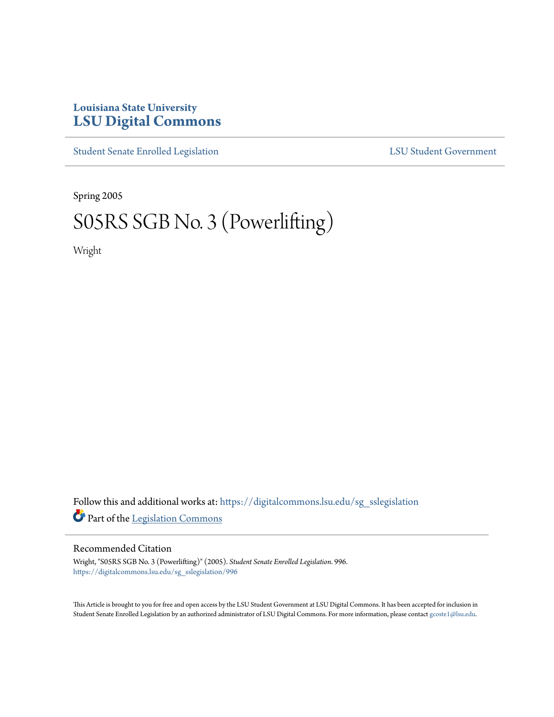## **Louisiana State University [LSU Digital Commons](https://digitalcommons.lsu.edu?utm_source=digitalcommons.lsu.edu%2Fsg_sslegislation%2F996&utm_medium=PDF&utm_campaign=PDFCoverPages)**

[Student Senate Enrolled Legislation](https://digitalcommons.lsu.edu/sg_sslegislation?utm_source=digitalcommons.lsu.edu%2Fsg_sslegislation%2F996&utm_medium=PDF&utm_campaign=PDFCoverPages) [LSU Student Government](https://digitalcommons.lsu.edu/sg?utm_source=digitalcommons.lsu.edu%2Fsg_sslegislation%2F996&utm_medium=PDF&utm_campaign=PDFCoverPages)

Spring 2005

## S05RS SGB No. 3 (Powerlifting)

Wright

Follow this and additional works at: [https://digitalcommons.lsu.edu/sg\\_sslegislation](https://digitalcommons.lsu.edu/sg_sslegislation?utm_source=digitalcommons.lsu.edu%2Fsg_sslegislation%2F996&utm_medium=PDF&utm_campaign=PDFCoverPages) Part of the [Legislation Commons](http://network.bepress.com/hgg/discipline/859?utm_source=digitalcommons.lsu.edu%2Fsg_sslegislation%2F996&utm_medium=PDF&utm_campaign=PDFCoverPages)

## Recommended Citation

Wright, "S05RS SGB No. 3 (Powerlifting)" (2005). *Student Senate Enrolled Legislation*. 996. [https://digitalcommons.lsu.edu/sg\\_sslegislation/996](https://digitalcommons.lsu.edu/sg_sslegislation/996?utm_source=digitalcommons.lsu.edu%2Fsg_sslegislation%2F996&utm_medium=PDF&utm_campaign=PDFCoverPages)

This Article is brought to you for free and open access by the LSU Student Government at LSU Digital Commons. It has been accepted for inclusion in Student Senate Enrolled Legislation by an authorized administrator of LSU Digital Commons. For more information, please contact [gcoste1@lsu.edu.](mailto:gcoste1@lsu.edu)